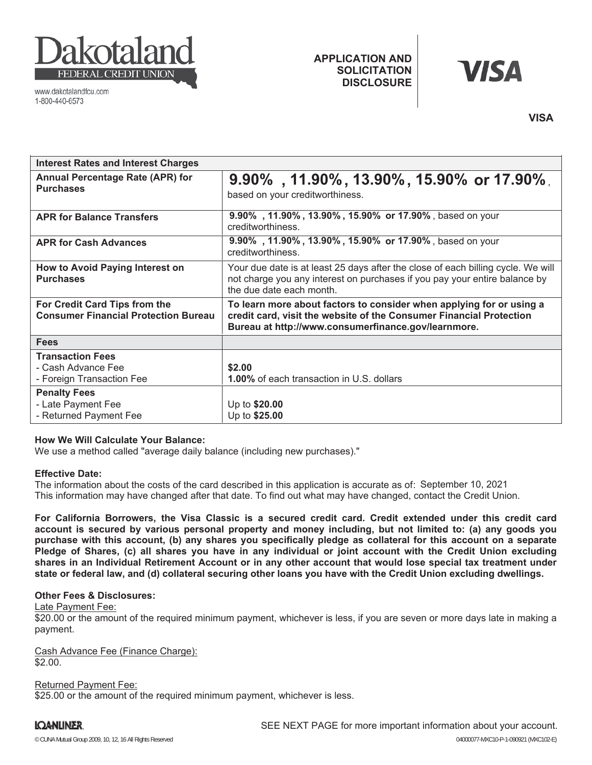

www.dakotalandfcu.com 1-800-440-6573

## **APPLICATION AND SOLICITATION DISCLOSURE**

# VISA

**VISA**

| <b>Interest Rates and Interest Charges</b>                                   |                                                                                                                                                                                                    |
|------------------------------------------------------------------------------|----------------------------------------------------------------------------------------------------------------------------------------------------------------------------------------------------|
| <b>Annual Percentage Rate (APR) for</b><br><b>Purchases</b>                  | $9.90\%$ , 11.90%, 13.90%, 15.90% or 17.90%,<br>based on your creditworthiness.                                                                                                                    |
| <b>APR for Balance Transfers</b>                                             | 9.90%, 11.90%, 13.90%, 15.90% or 17.90%, based on your<br>creditworthiness.                                                                                                                        |
| <b>APR for Cash Advances</b>                                                 | 9.90%, 11.90%, 13.90%, 15.90% or 17.90%, based on your<br>creditworthiness.                                                                                                                        |
| How to Avoid Paying Interest on<br><b>Purchases</b>                          | Your due date is at least 25 days after the close of each billing cycle. We will<br>not charge you any interest on purchases if you pay your entire balance by<br>the due date each month.         |
| For Credit Card Tips from the<br><b>Consumer Financial Protection Bureau</b> | To learn more about factors to consider when applying for or using a<br>credit card, visit the website of the Consumer Financial Protection<br>Bureau at http://www.consumerfinance.gov/learnmore. |
| <b>Fees</b>                                                                  |                                                                                                                                                                                                    |
| <b>Transaction Fees</b><br>- Cash Advance Fee<br>- Foreign Transaction Fee   | \$2.00<br><b>1.00%</b> of each transaction in U.S. dollars                                                                                                                                         |
| <b>Penalty Fees</b><br>- Late Payment Fee<br>- Returned Payment Fee          | Up to \$20.00<br>Up to \$25.00                                                                                                                                                                     |

#### **How We Will Calculate Your Balance:**

We use a method called "average daily balance (including new purchases)."

#### **Effective Date:**

The information about the costs of the card described in this application is accurate as of: September 10, 2021This information may have changed after that date. To find out what may have changed, contact the Credit Union.

**For California Borrowers, the Visa Classic is a secured credit card. Credit extended under this credit card account is secured by various personal property and money including, but not limited to: (a) any goods you purchase with this account, (b) any shares you specifically pledge as collateral for this account on a separate Pledge of Shares, (c) all shares you have in any individual or joint account with the Credit Union excluding shares in an Individual Retirement Account or in any other account that would lose special tax treatment under state or federal law, and (d) collateral securing other loans you have with the Credit Union excluding dwellings.**

### **Other Fees & Disclosures:**

Late Payment Fee:

\$20.00 or the amount of the required minimum payment, whichever is less, if you are seven or more days late in making a payment.

Cash Advance Fee (Finance Charge): \$2.00.

Returned Payment Fee: \$25.00 or the amount of the required minimum payment, whichever is less.

## **IQANLINER.**